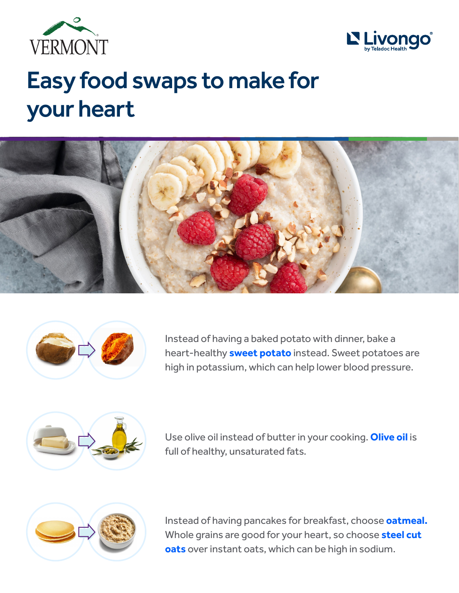



## Easy food swaps to make for your heart





Instead of having a baked potato with dinner, bake a heart-healthy **sweet potato** instead. Sweet potatoes are high in potassium, which can help lower blood pressure.



Use olive oil instead of butter in your cooking. **Olive oil** is full of healthy, unsaturated fats.



Instead of having pancakes for breakfast, choose **oatmeal.** Whole grains are good for your heart, so choose **steel cut oats** over instant oats, which can be high in sodium.